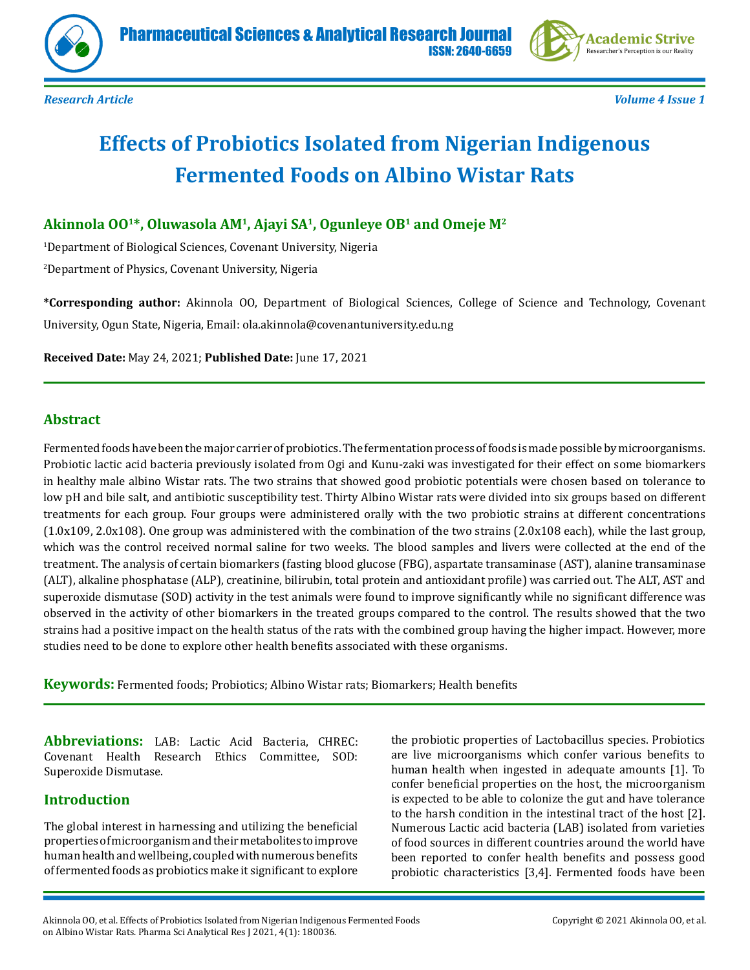



*Research Article Volume 4 Issue 1*

# **Effects of Probiotics Isolated from Nigerian Indigenous Fermented Foods on Albino Wistar Rats**

## **Akinnola OO1\*, Oluwasola AM1, Ajayi SA1, Ogunleye OB1 and Omeje M2**

1 Department of Biological Sciences, Covenant University, Nigeria

2 Department of Physics, Covenant University, Nigeria

**\*Corresponding author:** Akinnola OO, Department of Biological Sciences, College of Science and Technology, Covenant University, Ogun State, Nigeria, Email: ola.akinnola@covenantuniversity.edu.ng

**Received Date:** May 24, 2021; **Published Date:** June 17, 2021

#### **Abstract**

Fermented foods have been the major carrier of probiotics. The fermentation process of foods is made possible by microorganisms. Probiotic lactic acid bacteria previously isolated from Ogi and Kunu-zaki was investigated for their effect on some biomarkers in healthy male albino Wistar rats. The two strains that showed good probiotic potentials were chosen based on tolerance to low pH and bile salt, and antibiotic susceptibility test. Thirty Albino Wistar rats were divided into six groups based on different treatments for each group. Four groups were administered orally with the two probiotic strains at different concentrations (1.0x109, 2.0x108). One group was administered with the combination of the two strains (2.0x108 each), while the last group, which was the control received normal saline for two weeks. The blood samples and livers were collected at the end of the treatment. The analysis of certain biomarkers (fasting blood glucose (FBG), aspartate transaminase (AST), alanine transaminase (ALT), alkaline phosphatase (ALP), creatinine, bilirubin, total protein and antioxidant profile) was carried out. The ALT, AST and superoxide dismutase (SOD) activity in the test animals were found to improve significantly while no significant difference was observed in the activity of other biomarkers in the treated groups compared to the control. The results showed that the two strains had a positive impact on the health status of the rats with the combined group having the higher impact. However, more studies need to be done to explore other health benefits associated with these organisms.

**Keywords:** Fermented foods; Probiotics; Albino Wistar rats; Biomarkers; Health benefits

**Abbreviations:** LAB: Lactic Acid Bacteria, CHREC: Covenant Health Research Ethics Committee, SOD: Superoxide Dismutase.

#### **Introduction**

The global interest in harnessing and utilizing the beneficial properties of microorganism and their metabolites to improve human health and wellbeing, coupled with numerous benefits of fermented foods as probiotics make it significant to explore

the probiotic properties of Lactobacillus species. Probiotics are live microorganisms which confer various benefits to human health when ingested in adequate amounts [1]. To confer beneficial properties on the host, the microorganism is expected to be able to colonize the gut and have tolerance to the harsh condition in the intestinal tract of the host [2]. Numerous Lactic acid bacteria (LAB) isolated from varieties of food sources in different countries around the world have been reported to confer health benefits and possess good probiotic characteristics [3,4]. Fermented foods have been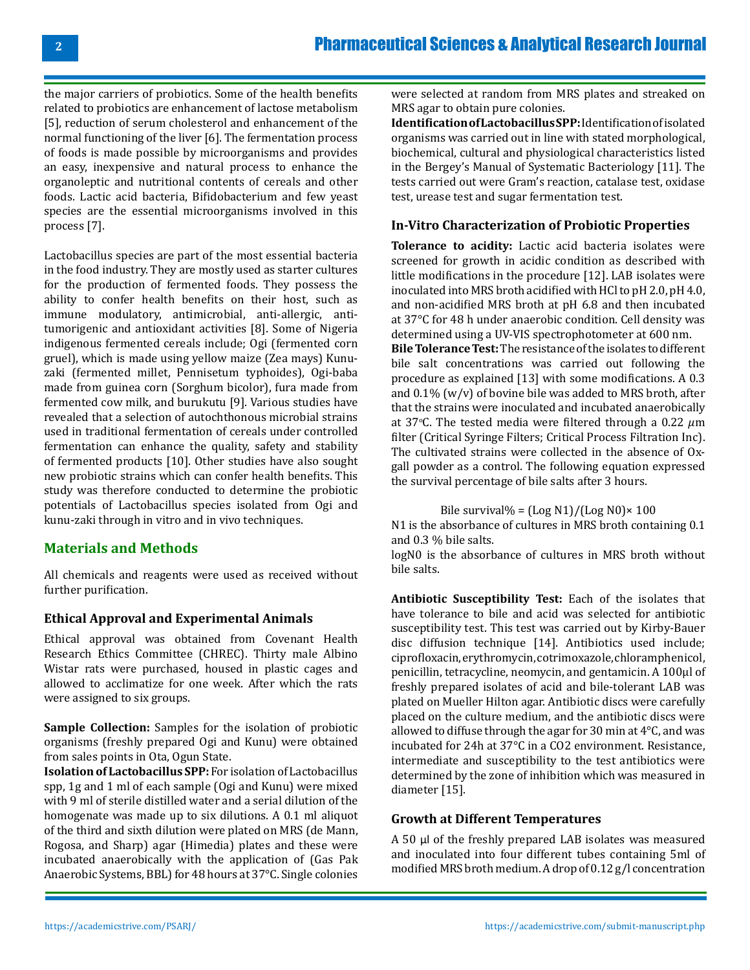the major carriers of probiotics. Some of the health benefits related to probiotics are enhancement of lactose metabolism [5], reduction of serum cholesterol and enhancement of the normal functioning of the liver [6]. The fermentation process of foods is made possible by microorganisms and provides an easy, inexpensive and natural process to enhance the organoleptic and nutritional contents of cereals and other foods. Lactic acid bacteria, Bifidobacterium and few yeast species are the essential microorganisms involved in this process [7].

Lactobacillus species are part of the most essential bacteria in the food industry. They are mostly used as starter cultures for the production of fermented foods. They possess the ability to confer health benefits on their host, such as immune modulatory, antimicrobial, anti-allergic, antitumorigenic and antioxidant activities [8]. Some of Nigeria indigenous fermented cereals include; Ogi (fermented corn gruel), which is made using yellow maize (Zea mays) Kunuzaki (fermented millet, Pennisetum typhoides), Ogi-baba made from guinea corn (Sorghum bicolor), fura made from fermented cow milk, and burukutu [9]. Various studies have revealed that a selection of autochthonous microbial strains used in traditional fermentation of cereals under controlled fermentation can enhance the quality, safety and stability of fermented products [10]. Other studies have also sought new probiotic strains which can confer health benefits. This study was therefore conducted to determine the probiotic potentials of Lactobacillus species isolated from Ogi and kunu-zaki through in vitro and in vivo techniques.

### **Materials and Methods**

All chemicals and reagents were used as received without further purification.

#### **Ethical Approval and Experimental Animals**

Ethical approval was obtained from Covenant Health Research Ethics Committee (CHREC). Thirty male Albino Wistar rats were purchased, housed in plastic cages and allowed to acclimatize for one week. After which the rats were assigned to six groups.

**Sample Collection:** Samples for the isolation of probiotic organisms (freshly prepared Ogi and Kunu) were obtained from sales points in Ota, Ogun State.

**Isolation of Lactobacillus SPP:** For isolation of Lactobacillus spp, 1g and 1 ml of each sample (Ogi and Kunu) were mixed with 9 ml of sterile distilled water and a serial dilution of the homogenate was made up to six dilutions. A 0.1 ml aliquot of the third and sixth dilution were plated on MRS (de Mann, Rogosa, and Sharp) agar (Himedia) plates and these were incubated anaerobically with the application of (Gas Pak Anaerobic Systems, BBL) for 48 hours at 37°C. Single colonies

were selected at random from MRS plates and streaked on MRS agar to obtain pure colonies.

**Identification of Lactobacillus SPP:** Identification of isolated organisms was carried out in line with stated morphological, biochemical, cultural and physiological characteristics listed in the Bergey's Manual of Systematic Bacteriology [11]. The tests carried out were Gram's reaction, catalase test, oxidase test, urease test and sugar fermentation test.

#### **In-Vitro Characterization of Probiotic Properties**

**Tolerance to acidity:** Lactic acid bacteria isolates were screened for growth in acidic condition as described with little modifications in the procedure [12]. LAB isolates were inoculated into MRS broth acidified with HCl to pH 2.0, pH 4.0, and non-acidified MRS broth at pH 6.8 and then incubated at 37°C for 48 h under anaerobic condition. Cell density was determined using a UV-VIS spectrophotometer at 600 nm.

**Bile Tolerance Test:** The resistance of the isolates to different bile salt concentrations was carried out following the procedure as explained [13] with some modifications. A 0.3 and 0.1% (w/v) of bovine bile was added to MRS broth, after that the strains were inoculated and incubated anaerobically at 37°C. The tested media were filtered through a 0.22  $\mu$ m filter (Critical Syringe Filters; Critical Process Filtration Inc). The cultivated strains were collected in the absence of Oxgall powder as a control. The following equation expressed the survival percentage of bile salts after 3 hours.

Bile survival% =  $\frac{[Log N1]}{[Log N0]} \times 100$ 

N1 is the absorbance of cultures in MRS broth containing 0.1 and 0.3 % bile salts.

logN0 is the absorbance of cultures in MRS broth without bile salts.

**Antibiotic Susceptibility Test:** Each of the isolates that have tolerance to bile and acid was selected for antibiotic susceptibility test. This test was carried out by Kirby-Bauer disc diffusion technique [14]. Antibiotics used include; ciprofloxacin, erythromycin, cotrimoxazole, chloramphenicol, penicillin, tetracycline, neomycin, and gentamicin. A 100μl of freshly prepared isolates of acid and bile-tolerant LAB was plated on Mueller Hilton agar. Antibiotic discs were carefully placed on the culture medium, and the antibiotic discs were allowed to diffuse through the agar for 30 min at 4°C, and was incubated for 24h at 37°C in a CO2 environment. Resistance, intermediate and susceptibility to the test antibiotics were determined by the zone of inhibition which was measured in diameter [15].

#### **Growth at Different Temperatures**

A 50 μl of the freshly prepared LAB isolates was measured and inoculated into four different tubes containing 5ml of modified MRS broth medium. A drop of 0.12 g/l concentration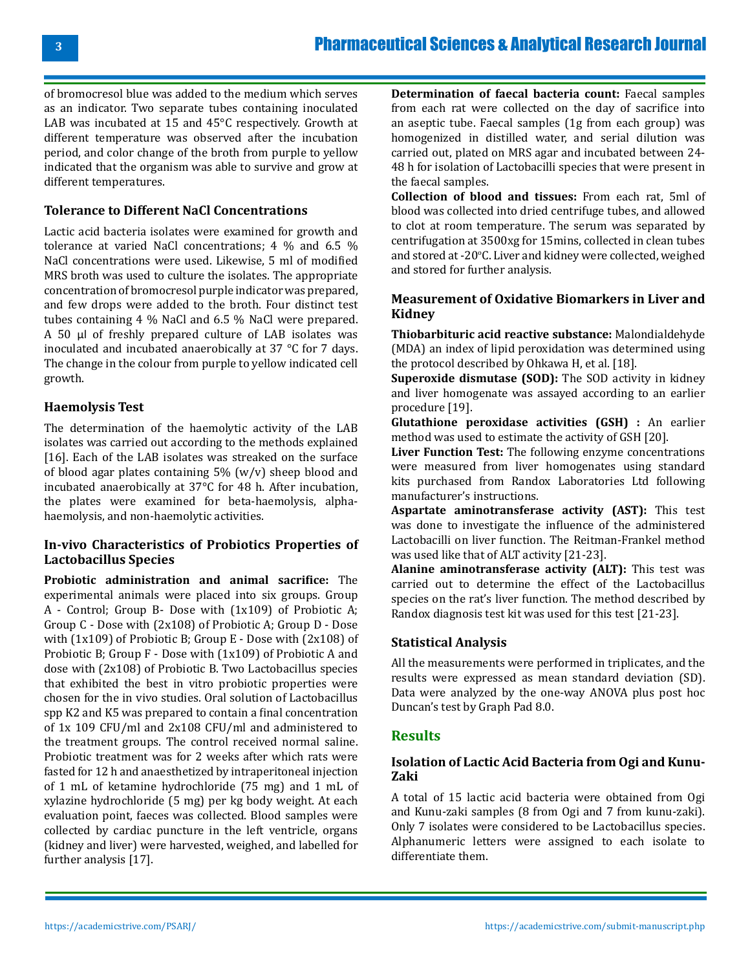of bromocresol blue was added to the medium which serves as an indicator. Two separate tubes containing inoculated LAB was incubated at 15 and 45°C respectively. Growth at different temperature was observed after the incubation period, and color change of the broth from purple to yellow indicated that the organism was able to survive and grow at different temperatures.

#### **Tolerance to Different NaCl Concentrations**

Lactic acid bacteria isolates were examined for growth and tolerance at varied NaCl concentrations; 4 % and 6.5 % NaCl concentrations were used. Likewise, 5 ml of modified MRS broth was used to culture the isolates. The appropriate concentration of bromocresol purple indicator was prepared, and few drops were added to the broth. Four distinct test tubes containing 4 % NaCl and 6.5 % NaCl were prepared. A 50 μl of freshly prepared culture of LAB isolates was inoculated and incubated anaerobically at 37 °C for 7 days. The change in the colour from purple to yellow indicated cell growth.

#### **Haemolysis Test**

The determination of the haemolytic activity of the LAB isolates was carried out according to the methods explained [16]. Each of the LAB isolates was streaked on the surface of blood agar plates containing  $5\%$  (w/v) sheep blood and incubated anaerobically at 37°C for 48 h. After incubation, the plates were examined for beta-haemolysis, alphahaemolysis, and non-haemolytic activities.

#### **In-vivo Characteristics of Probiotics Properties of Lactobacillus Species**

**Probiotic administration and animal sacrifice:** The experimental animals were placed into six groups. Group A - Control; Group B- Dose with (1x109) of Probiotic A; Group C - Dose with (2x108) of Probiotic A; Group D - Dose with (1x109) of Probiotic B; Group E - Dose with (2x108) of Probiotic B; Group F - Dose with (1x109) of Probiotic A and dose with (2x108) of Probiotic B. Two Lactobacillus species that exhibited the best in vitro probiotic properties were chosen for the in vivo studies. Oral solution of Lactobacillus spp K2 and K5 was prepared to contain a final concentration of 1x 109 CFU/ml and 2x108 CFU/ml and administered to the treatment groups. The control received normal saline. Probiotic treatment was for 2 weeks after which rats were fasted for 12 h and anaesthetized by intraperitoneal injection of 1 mL of ketamine hydrochloride (75 mg) and 1 mL of xylazine hydrochloride (5 mg) per kg body weight. At each evaluation point, faeces was collected. Blood samples were collected by cardiac puncture in the left ventricle, organs (kidney and liver) were harvested, weighed, and labelled for further analysis [17].

**Determination of faecal bacteria count:** Faecal samples from each rat were collected on the day of sacrifice into an aseptic tube. Faecal samples (1g from each group) was homogenized in distilled water, and serial dilution was carried out, plated on MRS agar and incubated between 24- 48 h for isolation of Lactobacilli species that were present in the faecal samples.

**Collection of blood and tissues:** From each rat, 5ml of blood was collected into dried centrifuge tubes, and allowed to clot at room temperature. The serum was separated by centrifugation at 3500xg for 15mins, collected in clean tubes and stored at -20°C. Liver and kidney were collected, weighed and stored for further analysis.

#### **Measurement of Oxidative Biomarkers in Liver and Kidney**

**Thiobarbituric acid reactive substance:** Malondialdehyde (MDA) an index of lipid peroxidation was determined using the protocol described by Ohkawa H, et al. [18].

**Superoxide dismutase (SOD):** The SOD activity in kidney and liver homogenate was assayed according to an earlier procedure [19].

**Glutathione peroxidase activities (GSH) :** An earlier method was used to estimate the activity of GSH [20].

**Liver Function Test:** The following enzyme concentrations were measured from liver homogenates using standard kits purchased from Randox Laboratories Ltd following manufacturer's instructions.

**Aspartate aminotransferase activity (AST):** This test was done to investigate the influence of the administered Lactobacilli on liver function. The Reitman-Frankel method was used like that of ALT activity [21-23].

**Alanine aminotransferase activity (ALT):** This test was carried out to determine the effect of the Lactobacillus species on the rat's liver function. The method described by Randox diagnosis test kit was used for this test [21-23].

#### **Statistical Analysis**

All the measurements were performed in triplicates, and the results were expressed as mean standard deviation (SD). Data were analyzed by the one-way ANOVA plus post hoc Duncan's test by Graph Pad 8.0.

#### **Results**

#### **Isolation of Lactic Acid Bacteria from Ogi and Kunu-Zaki**

A total of 15 lactic acid bacteria were obtained from Ogi and Kunu-zaki samples (8 from Ogi and 7 from kunu-zaki). Only 7 isolates were considered to be Lactobacillus species. Alphanumeric letters were assigned to each isolate to differentiate them.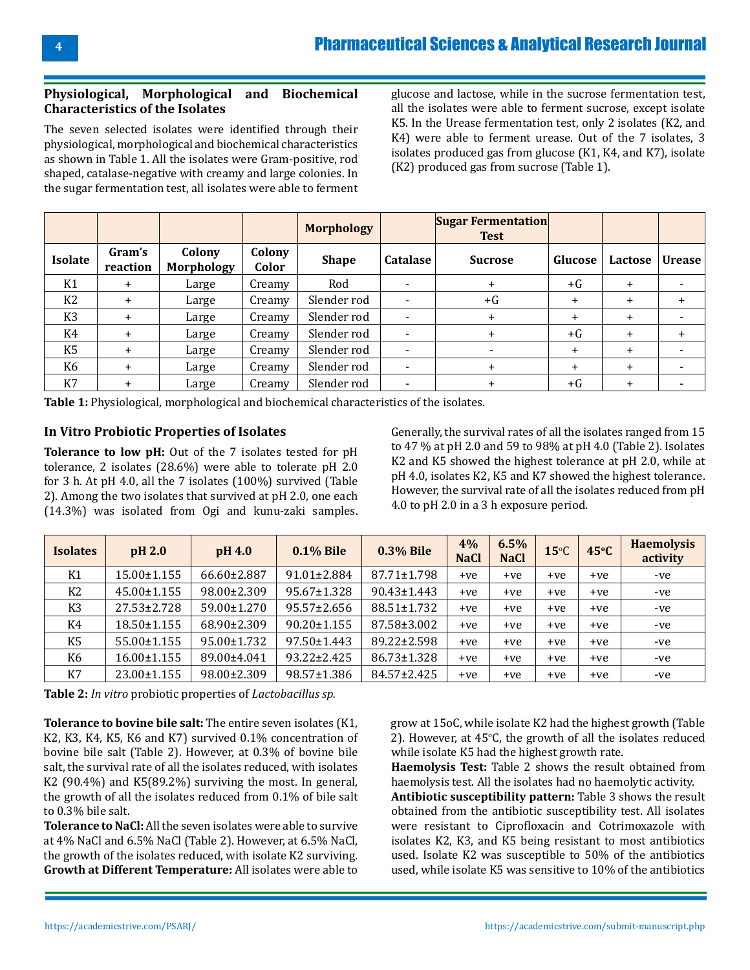#### **Physiological, Morphological and Biochemical Characteristics of the Isolates**

The seven selected isolates were identified through their physiological, morphological and biochemical characteristics as shown in Table 1. All the isolates were Gram-positive, rod shaped, catalase-negative with creamy and large colonies. In the sugar fermentation test, all isolates were able to ferment

glucose and lactose, while in the sucrose fermentation test, all the isolates were able to ferment sucrose, except isolate K5. In the Urease fermentation test, only 2 isolates (K2, and K4) were able to ferment urease. Out of the 7 isolates, 3 isolates produced gas from glucose (K1, K4, and K7), isolate (K2) produced gas from sucrose (Table 1).

|                |                    |                             |                 | <b>Morphology</b> |                          | <b>Sugar Fermentation</b><br><b>Test</b> |           |           |               |
|----------------|--------------------|-----------------------------|-----------------|-------------------|--------------------------|------------------------------------------|-----------|-----------|---------------|
| <b>Isolate</b> | Gram's<br>reaction | Colony<br><b>Morphology</b> | Colony<br>Color | <b>Shape</b>      | <b>Catalase</b>          | <b>Sucrose</b>                           | Glucose   | Lactose   | <b>Urease</b> |
| K1             | $\ddot{}$          | Large                       | Creamy          | Rod               |                          | $+$                                      | $+G$      | $\ddot{}$ |               |
| K <sub>2</sub> | $\ddot{}$          | Large                       | Creamy          | Slender rod       |                          | $+G$                                     | $\ddot{}$ | $\ddot{}$ | $\ddot{}$     |
| K <sub>3</sub> | $\ddot{}$          | Large                       | Creamy          | Slender rod       | $\overline{\phantom{a}}$ | $\ddot{}$                                | $\ddot{}$ | $\ddot{}$ |               |
| K4             | $\ddot{}$          | Large                       | Creamy          | Slender rod       | -                        | $\ddot{}$                                | $+G$      | $\pm$     |               |
| K <sub>5</sub> | $\ddot{}$          | Large                       | Creamy          | Slender rod       | $\overline{\phantom{a}}$ |                                          | $\ddot{}$ | $\ddot{}$ |               |
| K <sub>6</sub> | $\ddot{}$          | Large                       | Creamy          | Slender rod       | $\overline{\phantom{0}}$ | $\ddot{}$                                | $\ddot{}$ | $\ddot{}$ |               |
| K7             | $+$                | Large                       | Creamy          | Slender rod       | $\overline{\phantom{0}}$ | $\ddot{}$                                | $+G$      | $\pm$     |               |

**Table 1:** Physiological, morphological and biochemical characteristics of the isolates.

#### **In Vitro Probiotic Properties of Isolates**

**Tolerance to low pH:** Out of the 7 isolates tested for pH tolerance, 2 isolates (28.6%) were able to tolerate pH 2.0 for 3 h. At pH 4.0, all the 7 isolates (100%) survived (Table 2). Among the two isolates that survived at pH 2.0, one each (14.3%) was isolated from Ogi and kunu-zaki samples.

Generally, the survival rates of all the isolates ranged from 15 to 47 % at pH 2.0 and 59 to 98% at pH 4.0 (Table 2). Isolates K2 and K5 showed the highest tolerance at pH 2.0, while at pH 4.0, isolates K2, K5 and K7 showed the highest tolerance. However, the survival rate of all the isolates reduced from pH 4.0 to pH 2.0 in a 3 h exposure period.

| <b>Isolates</b> | pH 2.0            | pH 4.0      | <b>0.1% Bile</b>  | <b>0.3% Bile</b> | 4%<br><b>NaCl</b> | 6.5%<br><b>NaCl</b> | $15^{\circ}$ C | 45°C  | <b>Haemolysis</b><br>activity |
|-----------------|-------------------|-------------|-------------------|------------------|-------------------|---------------------|----------------|-------|-------------------------------|
| K1              | 15.00±1.155       | 66.60±2.887 | $91.01 \pm 2.884$ | 87.71±1.798      | $+ve$             | $+ve$               | $+ve$          | $+ve$ | -ve                           |
| K2              | $45.00 \pm 1.155$ | 98.00±2.309 | 95.67±1.328       | 90.43±1.443      | $+ve$             | $+ve$               | $+ve$          | $+ve$ | -ve                           |
| K <sub>3</sub>  | 27.53±2.728       | 59.00±1.270 | $95.57 \pm 2.656$ | 88.51±1.732      | +ve               | $+ve$               | $+ve$          | $+ve$ | -ve                           |
| K4              | 18.50±1.155       | 68.90±2.309 | $90.20 \pm 1.155$ | 87.58±3.002      | $+ve$             | $+ve$               | $+ve$          | $+ve$ | -ve                           |
| K <sub>5</sub>  | $55.00 \pm 1.155$ | 95.00±1.732 | 97.50±1.443       | 89.22±2.598      | $+ve$             | $+ve$               | $+ve$          | $+ve$ | -ve                           |
| K6              | 16.00±1.155       | 89.00±4.041 | 93.22±2.425       | 86.73±1.328      | $+ve$             | $+ve$               | $+ve$          | $+ve$ | -ve                           |
| K7              | 23.00±1.155       | 98.00±2.309 | 98.57±1.386       | 84.57±2.425      | $+ve$             | $+ve$               | $+ve$          | $+ve$ | -ve                           |

**Table 2:** *In vitro* probiotic properties of *Lactobacillus sp.*

**Tolerance to bovine bile salt:** The entire seven isolates (K1, K2, K3, K4, K5, K6 and K7) survived 0.1% concentration of bovine bile salt (Table 2). However, at 0.3% of bovine bile salt, the survival rate of all the isolates reduced, with isolates K2 (90.4%) and K5(89.2%) surviving the most. In general, the growth of all the isolates reduced from 0.1% of bile salt to 0.3% bile salt.

**Tolerance to NaCl:** All the seven isolates were able to survive at 4% NaCl and 6.5% NaCl (Table 2). However, at 6.5% NaCl, the growth of the isolates reduced, with isolate K2 surviving. **Growth at Different Temperature:** All isolates were able to

grow at 15oC, while isolate K2 had the highest growth (Table 2). However, at  $45^{\circ}$ C, the growth of all the isolates reduced while isolate K5 had the highest growth rate.

**Haemolysis Test:** Table 2 shows the result obtained from haemolysis test. All the isolates had no haemolytic activity.

**Antibiotic susceptibility pattern:** Table 3 shows the result obtained from the antibiotic susceptibility test. All isolates were resistant to Ciprofloxacin and Cotrimoxazole with isolates K2, K3, and K5 being resistant to most antibiotics used. Isolate K2 was susceptible to 50% of the antibiotics used, while isolate K5 was sensitive to 10% of the antibiotics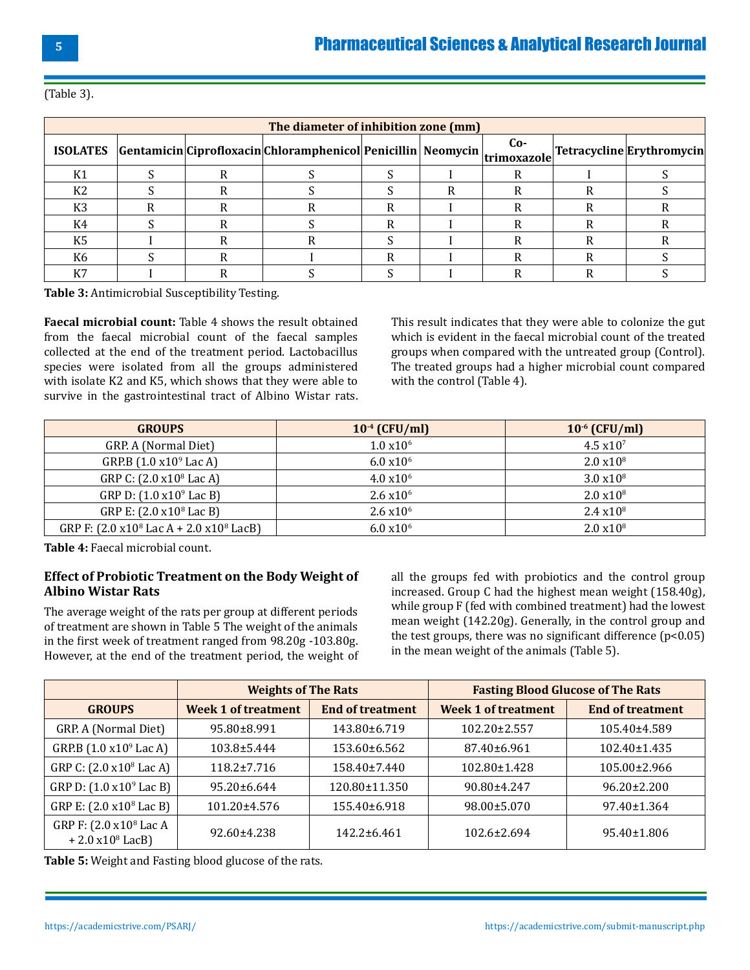| The diameter of inhibition zone (mm) |  |  |                                                                                                                               |  |  |     |  |  |  |
|--------------------------------------|--|--|-------------------------------------------------------------------------------------------------------------------------------|--|--|-----|--|--|--|
|                                      |  |  | $\text{ISOLATES}$ Gentamicin Ciprofloxacin Chloramphenicol Penicillin Neomycin $\text{trimoxazole}$ Tetracycline Erythromycin |  |  | Co- |  |  |  |
| K1                                   |  |  |                                                                                                                               |  |  |     |  |  |  |
| K <sub>2</sub>                       |  |  |                                                                                                                               |  |  |     |  |  |  |
| K3                                   |  |  |                                                                                                                               |  |  |     |  |  |  |
| K4                                   |  |  |                                                                                                                               |  |  |     |  |  |  |
| K5                                   |  |  |                                                                                                                               |  |  |     |  |  |  |
| K6                                   |  |  |                                                                                                                               |  |  |     |  |  |  |
| K7                                   |  |  |                                                                                                                               |  |  |     |  |  |  |

(Table 3).

**Table 3:** Antimicrobial Susceptibility Testing.

**Faecal microbial count:** Table 4 shows the result obtained from the faecal microbial count of the faecal samples collected at the end of the treatment period. Lactobacillus species were isolated from all the groups administered with isolate K2 and K5, which shows that they were able to survive in the gastrointestinal tract of Albino Wistar rats. This result indicates that they were able to colonize the gut which is evident in the faecal microbial count of the treated groups when compared with the untreated group (Control). The treated groups had a higher microbial count compared with the control (Table 4).

| <b>GROUPS</b>                                             | $10^{-4}$ (CFU/ml)  | $10^{-6}$ (CFU/ml)  |
|-----------------------------------------------------------|---------------------|---------------------|
| GRP. A (Normal Diet)                                      | $1.0 \times 10^{6}$ | $4.5 \times 10^{7}$ |
| GRP.B $(1.0 x109$ Lac A)                                  | $6.0 \times 10^{6}$ | $2.0 \times 10^8$   |
| GRP C: (2.0 x10 <sup>8</sup> Lac A)                       | $4.0 \times 10^{6}$ | $3.0 \times 10^8$   |
| GRP D: (1.0 x10 <sup>9</sup> Lac B)                       | $2.6 \times 10^{6}$ | $2.0 \times 10^8$   |
| GRP E: (2.0 x10 <sup>8</sup> Lac B)                       | $2.6 \times 10^{6}$ | $2.4 \times 10^8$   |
| GRP F: $(2.0 \times 10^8$ Lac A + 2.0 $\times 10^8$ LacB) | $6.0 \times 10^{6}$ | $2.0 \times 10^8$   |

**Table 4:** Faecal microbial count.

#### **Effect of Probiotic Treatment on the Body Weight of Albino Wistar Rats**

The average weight of the rats per group at different periods of treatment are shown in Table 5 The weight of the animals in the first week of treatment ranged from 98.20g -103.80g. However, at the end of the treatment period, the weight of

all the groups fed with probiotics and the control group increased. Group C had the highest mean weight (158.40g), while group F (fed with combined treatment) had the lowest mean weight (142.20g). Generally, in the control group and the test groups, there was no significant difference  $(p<0.05)$ in the mean weight of the animals (Table 5).

|                                                                 | <b>Weights of The Rats</b> |                         | <b>Fasting Blood Glucose of The Rats</b> |                         |  |  |
|-----------------------------------------------------------------|----------------------------|-------------------------|------------------------------------------|-------------------------|--|--|
| <b>GROUPS</b>                                                   | <b>Week 1 of treatment</b> | <b>End of treatment</b> | <b>Week 1 of treatment</b>               | <b>End of treatment</b> |  |  |
| GRP. A (Normal Diet)                                            | 95.80±8.991                | 143.80±6.719            | $102.20 \pm 2.557$                       | 105.40±4.589            |  |  |
| GRP.B (1.0 x10 <sup>9</sup> Lac A)                              | $103.8 \pm 5.444$          | $153.60\pm 6.562$       | $87.40 \pm 6.961$                        | $102.40 \pm 1.435$      |  |  |
| GRP C: (2.0 x10 <sup>8</sup> Lac A)                             | $118.2 \pm 7.716$          | $158.40\pm7.440$        | $102.80 \pm 1.428$                       | $105.00 \pm 2.966$      |  |  |
| GRP D: $(1.0 \times 10^9$ Lac B)                                | $95.20 \pm 6.644$          | 120.80±11.350           | 90.80±4.247                              | $96.20 \pm 2.200$       |  |  |
| GRP E: (2.0 x10 <sup>8</sup> Lac B)                             | 101.20±4.576               | 155.40±6.918            | 98.00±5.070                              | 97.40±1.364             |  |  |
| GRP F: (2.0 x10 <sup>8</sup> Lac A<br>$+ 2.0 \times 10^8$ LacB) | 92.60±4.238                | $142.2 \pm 6.461$       | $102.6 \pm 2.694$                        | 95.40±1.806             |  |  |

**Table 5:** Weight and Fasting blood glucose of the rats.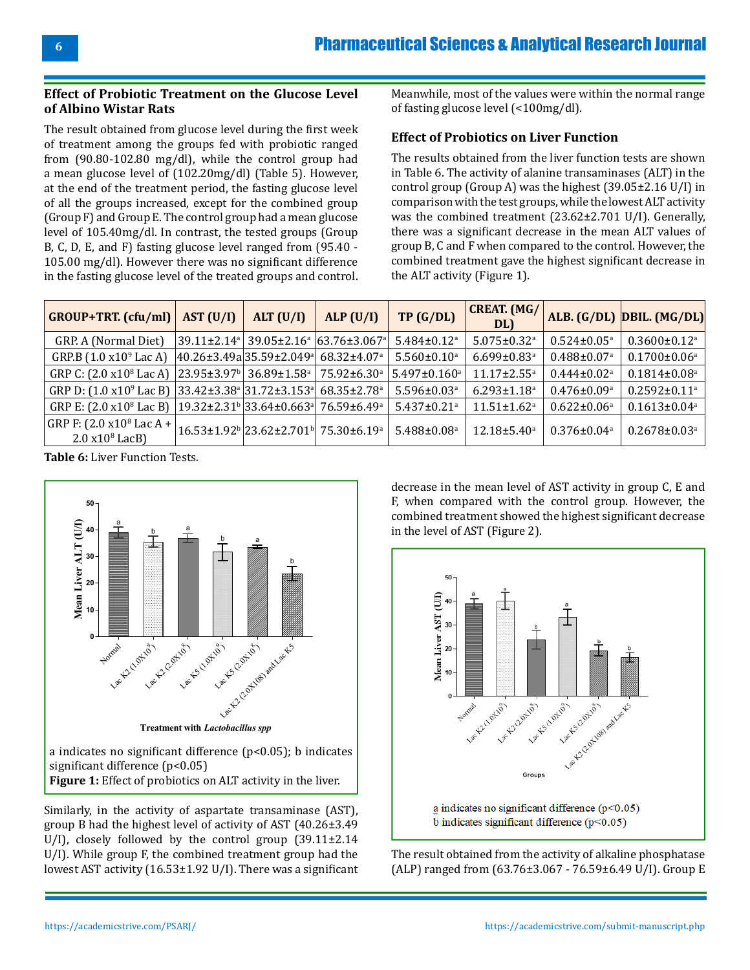#### **Effect of Probiotic Treatment on the Glucose Level of Albino Wistar Rats**

The result obtained from glucose level during the first week of treatment among the groups fed with probiotic ranged from (90.80-102.80 mg/dl), while the control group had a mean glucose level of (102.20mg/dl) (Table 5). However, at the end of the treatment period, the fasting glucose level of all the groups increased, except for the combined group (Group F) and Group E. The control group had a mean glucose level of 105.40mg/dl. In contrast, the tested groups (Group B, C, D, E, and F) fasting glucose level ranged from (95.40 - 105.00 mg/dl). However there was no significant difference in the fasting glucose level of the treated groups and control.

Meanwhile, most of the values were within the normal range of fasting glucose level (<100mg/dl).

#### **Effect of Probiotics on Liver Function**

The results obtained from the liver function tests are shown in Table 6. The activity of alanine transaminases (ALT) in the control group (Group A) was the highest (39.05±2.16 U/I) in comparison with the test groups, while the lowest ALT activity was the combined treatment (23.62±2.701 U/I). Generally, there was a significant decrease in the mean ALT values of group B, C and F when compared to the control. However, the combined treatment gave the highest significant decrease in the ALT activity (Figure 1).

| <b>GROUP+TRT.</b> (cfu/ml)                                                                      | AST (U/I) | ALT $(U/I)$                                                        | ALP(U/I) | TP(G/DL)                      | <b>CREAT. (MG/</b><br>DL)     |                               | ALB. (G/DL) DBIL. (MG/DL)      |
|-------------------------------------------------------------------------------------------------|-----------|--------------------------------------------------------------------|----------|-------------------------------|-------------------------------|-------------------------------|--------------------------------|
| GRP. A (Normal Diet)                                                                            |           | $ 39.11\pm2.14^a 39.05\pm2.16^a 63.76\pm3.067^a $                  |          | $5.484 \pm 0.12$ <sup>a</sup> | $5.075 \pm 0.32$ <sup>a</sup> | $0.524 \pm 0.05^{\text{a}}$   | $0.3600 \pm 0.12$ <sup>a</sup> |
| GRP.B $(1.0 x109$ Lac A)                                                                        |           | $ 40.26 \pm 3.49a 35.59 \pm 2.049a $ 68.32±4.07 <sup>a</sup>       |          | $5.560 \pm 0.10^a$            | $6.699 \pm 0.83$ <sup>a</sup> | $0.488 \pm 0.07$ <sup>a</sup> | $0.1700 \pm 0.06^{\text{a}}$   |
| GRP C: $(2.0 \times 10^8$ Lac A) $ 23.95 \pm 3.97^b $ 36.89 $\pm 1.58^a$ 75.92 $\pm 6.30^a$     |           |                                                                    |          | $5.497 \pm 0.160^a$           | $11.17 \pm 2.55$ <sup>a</sup> | $0.444 \pm 0.02$ <sup>a</sup> | $0.1814 \pm 0.08$ <sup>a</sup> |
| GRP D: $(1.0 \times 10^{9}$ Lac B) $ 33.42 \pm 3.38^{a} 31.72 \pm 3.153^{a} 68.35 \pm 2.78^{a}$ |           |                                                                    |          | $5.596 \pm 0.03$ <sup>a</sup> | $6.293 \pm 1.18$ <sup>a</sup> | $0.476 \pm 0.09^{\text{a}}$   | $0.2592 \pm 0.11$ <sup>a</sup> |
| GRP E: $(2.0 \times 10^8$ Lac B) $ 19.32 \pm 2.31^b 33.64 \pm 0.663^a 76.59 \pm 6.49^a$         |           |                                                                    |          | $5.437 \pm 0.21$ <sup>a</sup> | $11.51 \pm 1.62$ <sup>a</sup> | $0.622 \pm 0.06^a$            | $0.1613 \pm 0.04^a$            |
| $ $ GRP F: (2.0 x10 <sup>8</sup> Lac A + $ $<br>$2.0 \times 10^8$ LacB)                         |           | $ 16.53\pm1.92\text{b} 23.62\pm2.701\text{b} 75.30\pm6.19\text{a}$ |          | $5.488 \pm 0.08$ <sup>a</sup> | $12.18 \pm 5.40^a$            | $0.376 \pm 0.04$ <sup>a</sup> | $0.2678 \pm 0.03$ <sup>a</sup> |

**Table 6:** Liver Function Tests.



Similarly, in the activity of aspartate transaminase (AST), group B had the highest level of activity of AST (40.26±3.49 U/I), closely followed by the control group (39.11±2.14 U/I). While group F, the combined treatment group had the lowest AST activity (16.53±1.92 U/I). There was a significant decrease in the mean level of AST activity in group C, E and F, when compared with the control group. However, the combined treatment showed the highest significant decrease in the level of AST (Figure 2).



The result obtained from the activity of alkaline phosphatase (ALP) ranged from (63.76±3.067 - 76.59±6.49 U/I). Group E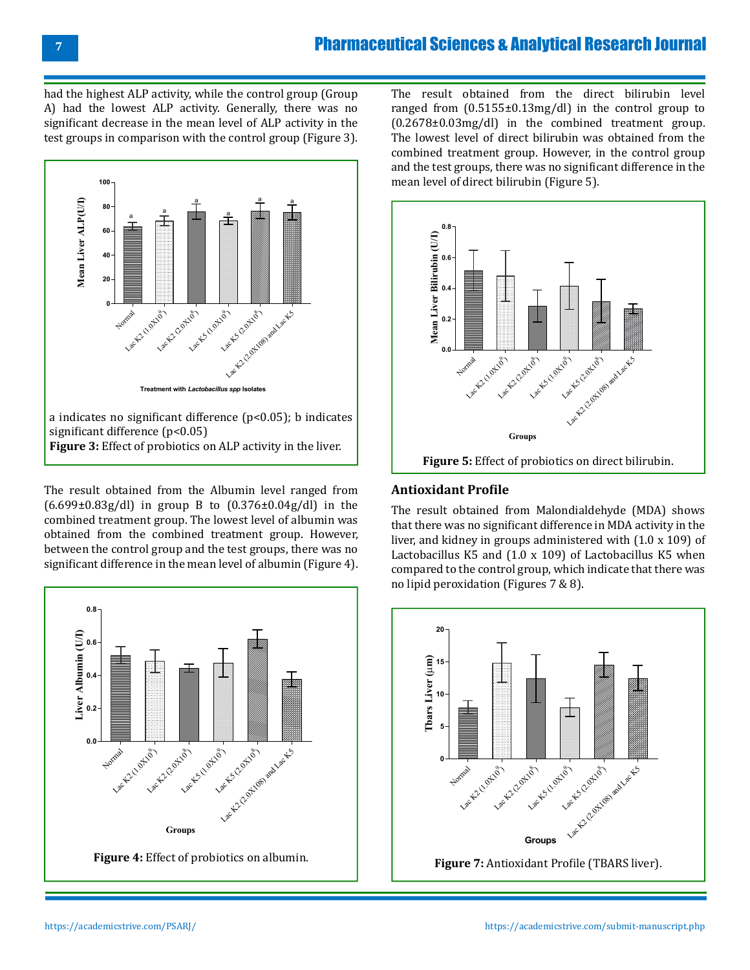had the highest ALP activity, while the control group (Group A) had the lowest ALP activity. Generally, there was no significant decrease in the mean level of ALP activity in the test groups in comparison with the control group (Figure 3).



The result obtained from the Albumin level ranged from  $(6.699\pm0.83g/d)$  in group B to  $(0.376\pm0.04g/d)$  in the combined treatment group. The lowest level of albumin was obtained from the combined treatment group. However, between the control group and the test groups, there was no significant difference in the mean level of albumin (Figure 4).



The result obtained from the direct bilirubin level ranged from (0.5155±0.13mg/dl) in the control group to (0.2678±0.03mg/dl) in the combined treatment group. The lowest level of direct bilirubin was obtained from the combined treatment group. However, in the control group and the test groups, there was no significant difference in the mean level of direct bilirubin (Figure 5).



#### **Antioxidant Profile**

The result obtained from Malondialdehyde (MDA) shows that there was no significant difference in MDA activity in the liver, and kidney in groups administered with (1.0 x 109) of Lactobacillus K5 and (1.0 x 109) of Lactobacillus K5 when compared to the control group, which indicate that there was no lipid peroxidation (Figures 7 & 8).

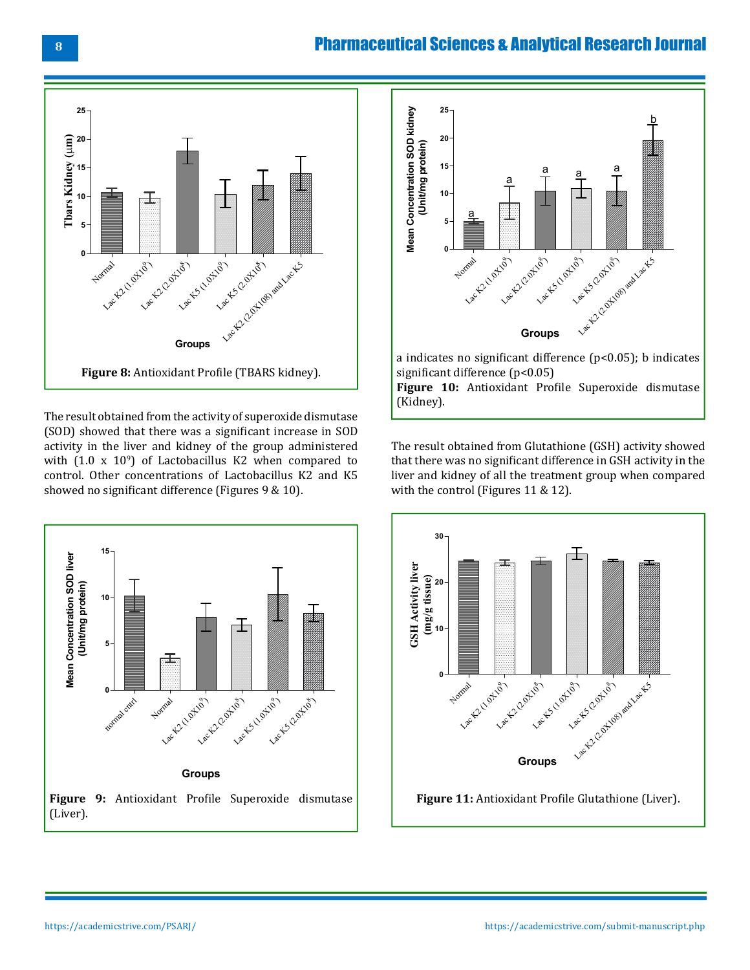## Pharmaceutical Sciences & Analytical Research Journal



The result obtained from the activity of superoxide dismutase (SOD) showed that there was a significant increase in SOD activity in the liver and kidney of the group administered with (1.0 x 109 ) of Lactobacillus K2 when compared to control. Other concentrations of Lactobacillus K2 and K5 showed no significant difference (Figures 9 & 10).





The result obtained from Glutathione (GSH) activity showed that there was no significant difference in GSH activity in the liver and kidney of all the treatment group when compared with the control (Figures 11 & 12).

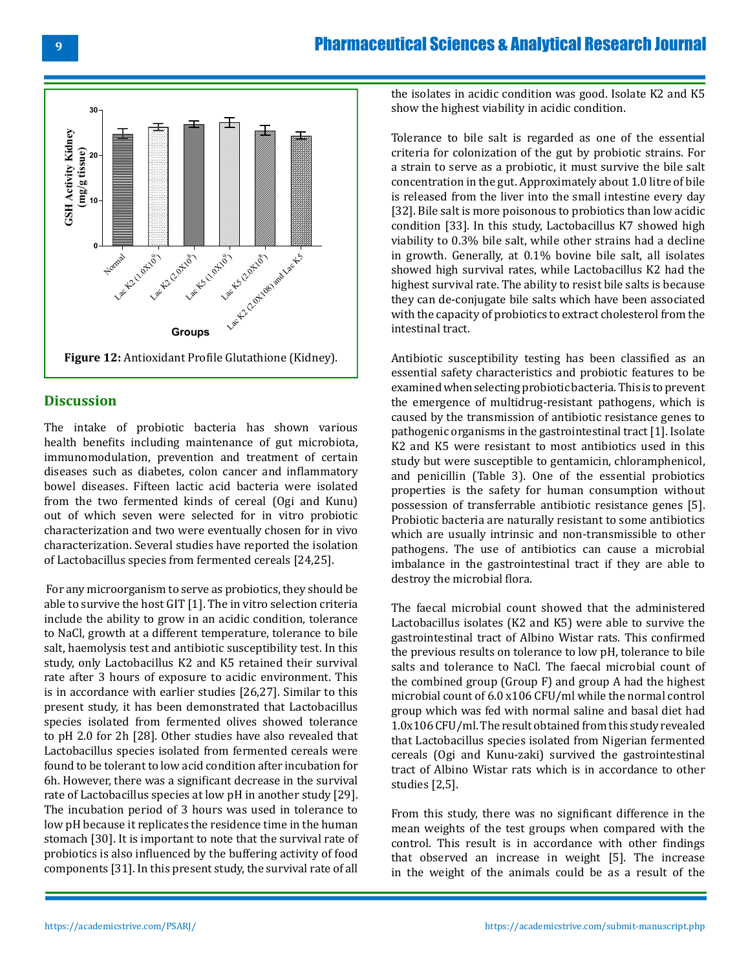# Pharmaceutical Sciences & Analytical Research Journal



#### **Discussion**

The intake of probiotic bacteria has shown various health benefits including maintenance of gut microbiota, immunomodulation, prevention and treatment of certain diseases such as diabetes, colon cancer and inflammatory bowel diseases. Fifteen lactic acid bacteria were isolated from the two fermented kinds of cereal (Ogi and Kunu) out of which seven were selected for in vitro probiotic characterization and two were eventually chosen for in vivo characterization. Several studies have reported the isolation of Lactobacillus species from fermented cereals [24,25].

 For any microorganism to serve as probiotics, they should be able to survive the host GIT [1]. The in vitro selection criteria include the ability to grow in an acidic condition, tolerance to NaCl, growth at a different temperature, tolerance to bile salt, haemolysis test and antibiotic susceptibility test. In this study, only Lactobacillus K2 and K5 retained their survival rate after 3 hours of exposure to acidic environment. This is in accordance with earlier studies [26,27]. Similar to this present study, it has been demonstrated that Lactobacillus species isolated from fermented olives showed tolerance to pH 2.0 for 2h [28]. Other studies have also revealed that Lactobacillus species isolated from fermented cereals were found to be tolerant to low acid condition after incubation for 6h. However, there was a significant decrease in the survival rate of Lactobacillus species at low pH in another study [29]. The incubation period of 3 hours was used in tolerance to low pH because it replicates the residence time in the human stomach [30]. It is important to note that the survival rate of probiotics is also influenced by the buffering activity of food components [31]. In this present study, the survival rate of all the isolates in acidic condition was good. Isolate K2 and K5 show the highest viability in acidic condition.

Tolerance to bile salt is regarded as one of the essential criteria for colonization of the gut by probiotic strains. For a strain to serve as a probiotic, it must survive the bile salt concentration in the gut. Approximately about 1.0 litre of bile is released from the liver into the small intestine every day [32]. Bile salt is more poisonous to probiotics than low acidic condition [33]. In this study, Lactobacillus K7 showed high viability to 0.3% bile salt, while other strains had a decline in growth. Generally, at 0.1% bovine bile salt, all isolates showed high survival rates, while Lactobacillus K2 had the highest survival rate. The ability to resist bile salts is because they can de-conjugate bile salts which have been associated with the capacity of probiotics to extract cholesterol from the intestinal tract.

Antibiotic susceptibility testing has been classified as an essential safety characteristics and probiotic features to be examined when selecting probiotic bacteria. This is to prevent the emergence of multidrug-resistant pathogens, which is caused by the transmission of antibiotic resistance genes to pathogenic organisms in the gastrointestinal tract [1]. Isolate K2 and K5 were resistant to most antibiotics used in this study but were susceptible to gentamicin, chloramphenicol, and penicillin (Table 3). One of the essential probiotics properties is the safety for human consumption without possession of transferrable antibiotic resistance genes [5]. Probiotic bacteria are naturally resistant to some antibiotics which are usually intrinsic and non-transmissible to other pathogens. The use of antibiotics can cause a microbial imbalance in the gastrointestinal tract if they are able to destroy the microbial flora.

The faecal microbial count showed that the administered Lactobacillus isolates (K2 and K5) were able to survive the gastrointestinal tract of Albino Wistar rats. This confirmed the previous results on tolerance to low pH, tolerance to bile salts and tolerance to NaCl. The faecal microbial count of the combined group (Group F) and group A had the highest microbial count of 6.0 x106 CFU/ml while the normal control group which was fed with normal saline and basal diet had 1.0x106 CFU/ml. The result obtained from this study revealed that Lactobacillus species isolated from Nigerian fermented cereals (Ogi and Kunu-zaki) survived the gastrointestinal tract of Albino Wistar rats which is in accordance to other studies [2,5].

From this study, there was no significant difference in the mean weights of the test groups when compared with the control. This result is in accordance with other findings that observed an increase in weight [5]. The increase in the weight of the animals could be as a result of the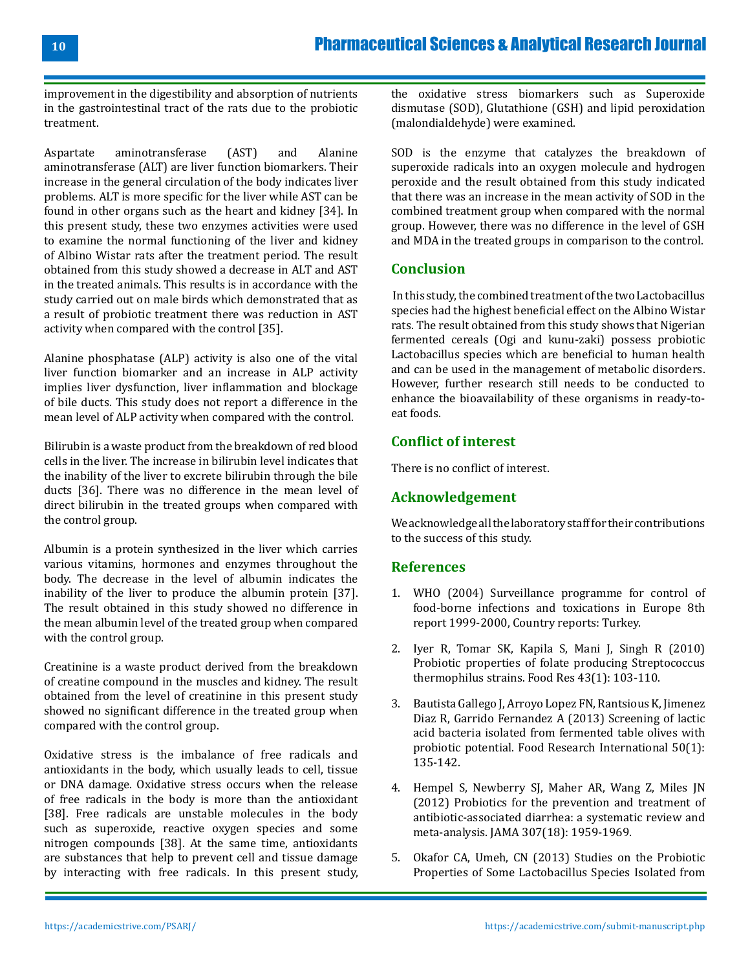improvement in the digestibility and absorption of nutrients in the gastrointestinal tract of the rats due to the probiotic treatment.

Aspartate aminotransferase (AST) and Alanine aminotransferase (ALT) are liver function biomarkers. Their increase in the general circulation of the body indicates liver problems. ALT is more specific for the liver while AST can be found in other organs such as the heart and kidney [34]. In this present study, these two enzymes activities were used to examine the normal functioning of the liver and kidney of Albino Wistar rats after the treatment period. The result obtained from this study showed a decrease in ALT and AST in the treated animals. This results is in accordance with the study carried out on male birds which demonstrated that as a result of probiotic treatment there was reduction in AST activity when compared with the control [35].

Alanine phosphatase (ALP) activity is also one of the vital liver function biomarker and an increase in ALP activity implies liver dysfunction, liver inflammation and blockage of bile ducts. This study does not report a difference in the mean level of ALP activity when compared with the control.

Bilirubin is a waste product from the breakdown of red blood cells in the liver. The increase in bilirubin level indicates that the inability of the liver to excrete bilirubin through the bile ducts [36]. There was no difference in the mean level of direct bilirubin in the treated groups when compared with the control group.

Albumin is a protein synthesized in the liver which carries various vitamins, hormones and enzymes throughout the body. The decrease in the level of albumin indicates the inability of the liver to produce the albumin protein [37]. The result obtained in this study showed no difference in the mean albumin level of the treated group when compared with the control group.

Creatinine is a waste product derived from the breakdown of creatine compound in the muscles and kidney. The result obtained from the level of creatinine in this present study showed no significant difference in the treated group when compared with the control group.

Oxidative stress is the imbalance of free radicals and antioxidants in the body, which usually leads to cell, tissue or DNA damage. Oxidative stress occurs when the release of free radicals in the body is more than the antioxidant [38]. Free radicals are unstable molecules in the body such as superoxide, reactive oxygen species and some nitrogen compounds [38]. At the same time, antioxidants are substances that help to prevent cell and tissue damage by interacting with free radicals. In this present study, the oxidative stress biomarkers such as Superoxide dismutase (SOD), Glutathione (GSH) and lipid peroxidation (malondialdehyde) were examined.

SOD is the enzyme that catalyzes the breakdown of superoxide radicals into an oxygen molecule and hydrogen peroxide and the result obtained from this study indicated that there was an increase in the mean activity of SOD in the combined treatment group when compared with the normal group. However, there was no difference in the level of GSH and MDA in the treated groups in comparison to the control.

#### **Conclusion**

 In this study, the combined treatment of the two Lactobacillus species had the highest beneficial effect on the Albino Wistar rats. The result obtained from this study shows that Nigerian fermented cereals (Ogi and kunu-zaki) possess probiotic Lactobacillus species which are beneficial to human health and can be used in the management of metabolic disorders. However, further research still needs to be conducted to enhance the bioavailability of these organisms in ready-toeat foods.

#### **Conflict of interest**

There is no conflict of interest.

#### **Acknowledgement**

We acknowledge all the laboratory staff for their contributions to the success of this study.

#### **References**

- 1. [WHO \(2004\) Surveillance programme for control of](https://www.bfr.bund.de/internet/8threport/CRs/tur.pdf) [food-borne infections and toxications in Europe 8th](https://www.bfr.bund.de/internet/8threport/CRs/tur.pdf)  [report 1999-2000, Country reports: Turkey.](https://www.bfr.bund.de/internet/8threport/CRs/tur.pdf)
- 2. Iyer R, Tomar SK, Kapila S, Mani J, Singh R (2010) Probiotic properties of folate producing Streptococcus thermophilus strains. Food Res 43(1): 103-110.
- 3. Bautista Gallego J, Arroyo Lopez FN, Rantsious K, Jimenez Diaz R, Garrido Fernandez A (2013) Screening of lactic acid bacteria isolated from fermented table olives with probiotic potential. Food Research International 50(1): 135-142.
- 4. [Hempel S, Newberry SJ, Maher AR, Wang Z, Miles JN](https://pubmed.ncbi.nlm.nih.gov/22570464/)  [\(2012\) Probiotics for the prevention and treatment of](https://pubmed.ncbi.nlm.nih.gov/22570464/) [antibiotic-associated diarrhea: a systematic review and](https://pubmed.ncbi.nlm.nih.gov/22570464/)  [meta-analysis. JAMA 307\(18\): 1959-1969.](https://pubmed.ncbi.nlm.nih.gov/22570464/)
- 5. [Okafor CA, Umeh, CN \(2013\) Studies on the Probiotic](https://docsdrive.com/pdfs/knowledgia/ajbs/2013/277-291.pdf) [Properties of Some Lactobacillus Species Isolated from](https://docsdrive.com/pdfs/knowledgia/ajbs/2013/277-291.pdf)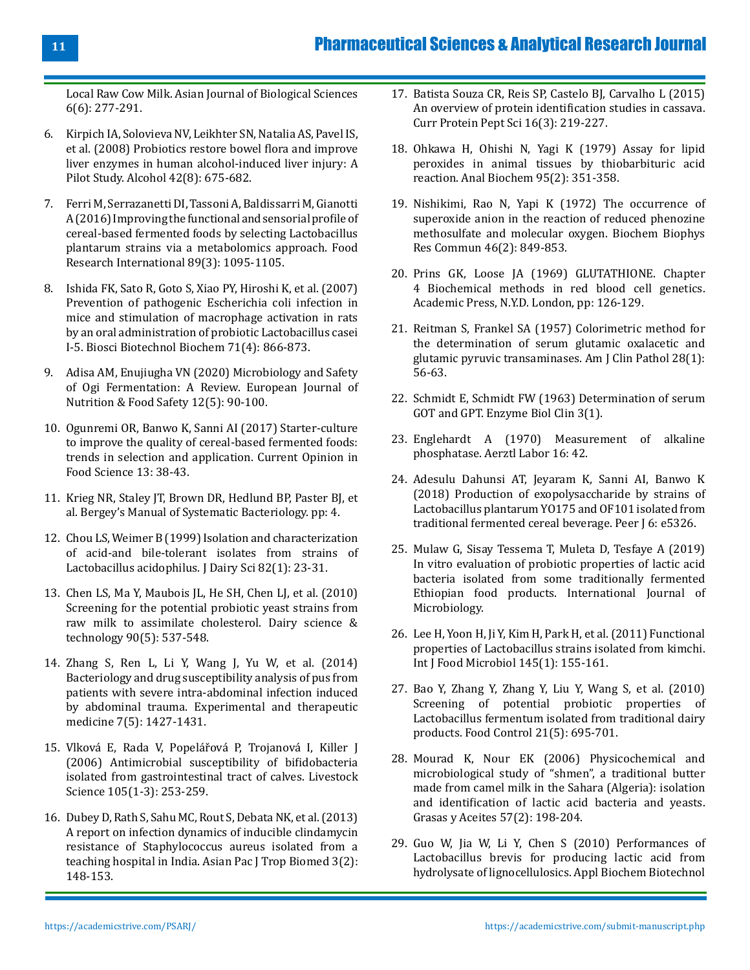[Local Raw Cow Milk. Asian Journal of Biological Sciences](https://docsdrive.com/pdfs/knowledgia/ajbs/2013/277-291.pdf) [6\(6\): 277-291.](https://docsdrive.com/pdfs/knowledgia/ajbs/2013/277-291.pdf)

- 6. [Kirpich IA, Solovieva NV, Leikhter SN, Natalia AS, Pavel IS,](https://www.ncbi.nlm.nih.gov/pmc/articles/PMC2630703/) [et al. \(2008\) Probiotics restore bowel flora and improve](https://www.ncbi.nlm.nih.gov/pmc/articles/PMC2630703/) [liver enzymes in human alcohol-induced liver injury: A](https://www.ncbi.nlm.nih.gov/pmc/articles/PMC2630703/) [Pilot Study. Alcohol 42\(8\): 675-682.](https://www.ncbi.nlm.nih.gov/pmc/articles/PMC2630703/)
- 7. Ferri M, Serrazanetti DI, Tassoni A, Baldissarri M, Gianotti A (2016) Improving the functional and sensorial profile of cereal-based fermented foods by selecting Lactobacillus plantarum strains via a metabolomics approach. Food Research International 89(3): 1095-1105.
- 8. [Ishida FK, Sato R, Goto S, Xiao PY, Hiroshi K, et al. \(2007\)](https://www.tandfonline.com/doi/abs/10.1271/bbb.60464) [Prevention of pathogenic Escherichia coli infection in](https://www.tandfonline.com/doi/abs/10.1271/bbb.60464) [mice and stimulation of macrophage activation in rats](https://www.tandfonline.com/doi/abs/10.1271/bbb.60464) [by an oral administration of probiotic Lactobacillus casei](https://www.tandfonline.com/doi/abs/10.1271/bbb.60464) [I-5. Biosci Biotechnol Biochem 71\(4\): 866-873.](https://www.tandfonline.com/doi/abs/10.1271/bbb.60464)
- 9. [Adisa AM, Enujiugha VN \(2020\) Microbiology and Safety](https://www.journalejnfs.com/index.php/EJNFS/article/view/30231) [of Ogi Fermentation: A Review. European Journal of](https://www.journalejnfs.com/index.php/EJNFS/article/view/30231) [Nutrition & Food Safety 12\(5\): 90-100.](https://www.journalejnfs.com/index.php/EJNFS/article/view/30231)
- 10. Ogunremi OR, Banwo K, Sanni AI (2017) Starter-culture to improve the quality of cereal-based fermented foods: trends in selection and application. Current Opinion in Food Science 13: 38-43.
- 11. [Krieg NR, Staley JT, Brown DR, Hedlund BP, Paster BJ, et](https://www.springer.com/gp/book/9780387950426) [al. Bergey's Manual of Systematic Bacteriology. pp: 4.](https://www.springer.com/gp/book/9780387950426)
- 12. [Chou LS, Weimer B \(1999\) Isolation and characterization](https://pubmed.ncbi.nlm.nih.gov/10022003/) [of acid-and bile-tolerant isolates from strains of](https://pubmed.ncbi.nlm.nih.gov/10022003/) [Lactobacillus acidophilus. J Dairy Sci 82\(1\): 23-31.](https://pubmed.ncbi.nlm.nih.gov/10022003/)
- 13. [Chen LS, Ma Y, Maubois JL, He SH, Chen LJ, et al. \(2010\)](https://link.springer.com/article/10.1051/dst/2010001) [Screening for the potential probiotic yeast strains from](https://link.springer.com/article/10.1051/dst/2010001) [raw milk to assimilate cholesterol. Dairy science &](https://link.springer.com/article/10.1051/dst/2010001) [technology 90\(5\): 537-548.](https://link.springer.com/article/10.1051/dst/2010001)
- 14. [Zhang S, Ren L, Li Y, Wang J, Yu W, et al. \(2014\)](https://pubmed.ncbi.nlm.nih.gov/24940451/) [Bacteriology and drug susceptibility analysis of pus from](https://pubmed.ncbi.nlm.nih.gov/24940451/) [patients with severe intra-abdominal infection induced](https://pubmed.ncbi.nlm.nih.gov/24940451/) [by abdominal trauma. Experimental and therapeutic](https://pubmed.ncbi.nlm.nih.gov/24940451/) [medicine 7\(5\): 1427-1431.](https://pubmed.ncbi.nlm.nih.gov/24940451/)
- 15. Vlková E, Rada V, Popelářová P, Trojanová I, Killer J (2006) Antimicrobial susceptibility of bifidobacteria isolated from gastrointestinal tract of calves. Livestock Science 105(1-3): 253-259.
- 16. [Dubey D, Rath S, Sahu MC, Rout S, Debata NK, et al. \(2013\)](https://pubmed.ncbi.nlm.nih.gov/23593595/) [A report on infection dynamics of inducible clindamycin](https://pubmed.ncbi.nlm.nih.gov/23593595/) [resistance of Staphylococcus aureus isolated from a](https://pubmed.ncbi.nlm.nih.gov/23593595/) [teaching hospital in India. Asian Pac J Trop Biomed 3\(2\):](https://pubmed.ncbi.nlm.nih.gov/23593595/) [148-153.](https://pubmed.ncbi.nlm.nih.gov/23593595/)
- 17. [Batista Souza CR, Reis SP, Castelo BJ, Carvalho L \(2015\)](https://pubmed.ncbi.nlm.nih.gov/25707473/) [An overview of protein identification studies in cassava.](https://pubmed.ncbi.nlm.nih.gov/25707473/)  [Curr Protein Pept Sci 16\(3\): 219-227.](https://pubmed.ncbi.nlm.nih.gov/25707473/)
- 18. [Ohkawa H, Ohishi N, Yagi K \(1979\) Assay for lipid](https://pubmed.ncbi.nlm.nih.gov/36810/)  [peroxides in animal tissues by thiobarbituric acid](https://pubmed.ncbi.nlm.nih.gov/36810/)  [reaction. Anal Biochem 95\(2\): 351-358.](https://pubmed.ncbi.nlm.nih.gov/36810/)
- 19. Nishikimi, Rao N, Yapi K (1972) The occurrence of superoxide anion in the reaction of reduced phenozine methosulfate and molecular oxygen. Biochem Biophys Res Commun 46(2): 849-853.
- 20. Prins GK, Loose JA (1969) GLUTATHIONE. Chapter 4 Biochemical methods in red blood cell genetics. Academic Press, N.Y.D. London, pp: 126-129.
- 21. [Reitman S, Frankel SA \(1957\) Colorimetric method for](https://pubmed.ncbi.nlm.nih.gov/13458125/)  [the determination of serum glutamic oxalacetic and](https://pubmed.ncbi.nlm.nih.gov/13458125/)  [glutamic pyruvic transaminases. Am J Clin Pathol 28\(1\):](https://pubmed.ncbi.nlm.nih.gov/13458125/) [56-63.](https://pubmed.ncbi.nlm.nih.gov/13458125/)
- 22. Schmidt E, Schmidt FW (1963) Determination of serum GOT and GPT. Enzyme Biol Clin 3(1).
- 23. Englehardt A (1970) Measurement of alkaline phosphatase. Aerztl Labor 16: 42.
- 24. [Adesulu Dahunsi AT, Jeyaram K, Sanni AI, Banwo K](https://pubmed.ncbi.nlm.nih.gov/30324007/)  [\(2018\) Production of exopolysaccharide by strains of](https://pubmed.ncbi.nlm.nih.gov/30324007/)  [Lactobacillus plantarum YO175 and OF101 isolated from](https://pubmed.ncbi.nlm.nih.gov/30324007/) [traditional fermented cereal beverage. Peer J 6: e5326.](https://pubmed.ncbi.nlm.nih.gov/30324007/)
- 25. [Mulaw G, Sisay Tessema T, Muleta D, Tesfaye A \(2019\)](https://downloads.hindawi.com/journals/ijmicro/2019/7179514.pdf) [In vitro evaluation of probiotic properties of lactic acid](https://downloads.hindawi.com/journals/ijmicro/2019/7179514.pdf) [bacteria isolated from some traditionally fermented](https://downloads.hindawi.com/journals/ijmicro/2019/7179514.pdf) [Ethiopian food products. International Journal of](https://downloads.hindawi.com/journals/ijmicro/2019/7179514.pdf) [Microbiology.](https://downloads.hindawi.com/journals/ijmicro/2019/7179514.pdf)
- 26. [Lee H, Yoon H, Ji Y, Kim H, Park H, et al. \(2011\) Functional](https://pubmed.ncbi.nlm.nih.gov/21215484/)  [properties of Lactobacillus strains isolated from kimchi.](https://pubmed.ncbi.nlm.nih.gov/21215484/) [Int J Food Microbiol 145\(1\): 155-161.](https://pubmed.ncbi.nlm.nih.gov/21215484/)
- 27. Bao Y, Zhang Y, Zhang Y, Liu Y, Wang S, et al. (2010) Screening of potential probiotic properties of Lactobacillus fermentum isolated from traditional dairy products. Food Control 21(5): 695-701.
- 28. [Mourad K, Nour EK \(2006\) Physicochemical and](http://grasasyaceites.revistas.csic.es/index.php/grasasyaceites/article/view/37)  [microbiological study of "shmen", a traditional butter](http://grasasyaceites.revistas.csic.es/index.php/grasasyaceites/article/view/37) [made from camel milk in the Sahara \(Algeria\): isolation](http://grasasyaceites.revistas.csic.es/index.php/grasasyaceites/article/view/37) [and identification of lactic acid bacteria and yeasts.](http://grasasyaceites.revistas.csic.es/index.php/grasasyaceites/article/view/37)  [Grasas y Aceites 57\(2\): 198-204.](http://grasasyaceites.revistas.csic.es/index.php/grasasyaceites/article/view/37)
- 29. [Guo W, Jia W, Li Y, Chen S \(2010\) Performances of](https://pubmed.ncbi.nlm.nih.gov/19937398/) [Lactobacillus brevis for producing lactic acid from](https://pubmed.ncbi.nlm.nih.gov/19937398/) [hydrolysate of lignocellulosics. Appl Biochem Biotechnol](https://pubmed.ncbi.nlm.nih.gov/19937398/)